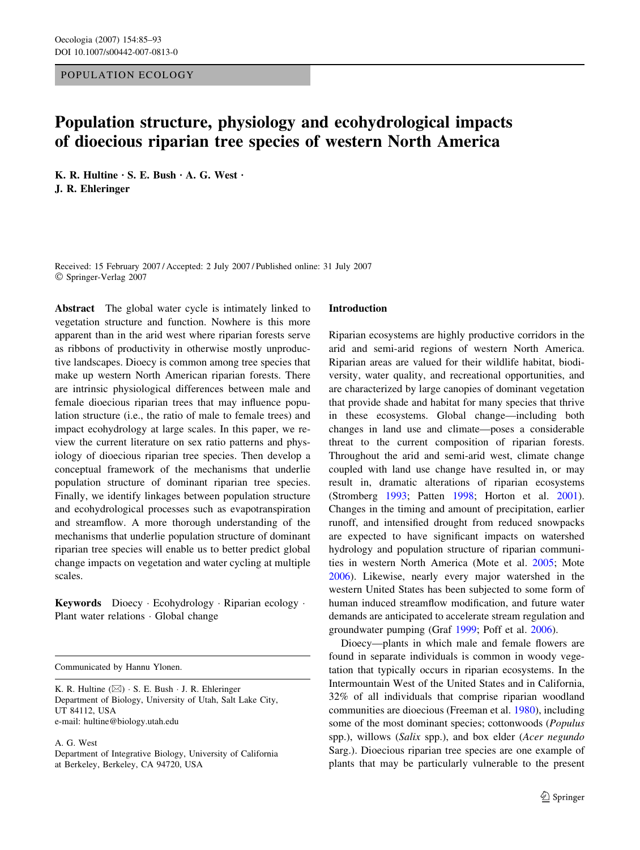## POPULATION ECOLOGY

# Population structure, physiology and ecohydrological impacts of dioecious riparian tree species of western North America

K. R. Hultine  $\cdot$  S. E. Bush  $\cdot$  A. G. West  $\cdot$ J. R. Ehleringer

Received: 15 February 2007 / Accepted: 2 July 2007 / Published online: 31 July 2007 Springer-Verlag 2007

Abstract The global water cycle is intimately linked to vegetation structure and function. Nowhere is this more apparent than in the arid west where riparian forests serve as ribbons of productivity in otherwise mostly unproductive landscapes. Dioecy is common among tree species that make up western North American riparian forests. There are intrinsic physiological differences between male and female dioecious riparian trees that may influence population structure (i.e., the ratio of male to female trees) and impact ecohydrology at large scales. In this paper, we review the current literature on sex ratio patterns and physiology of dioecious riparian tree species. Then develop a conceptual framework of the mechanisms that underlie population structure of dominant riparian tree species. Finally, we identify linkages between population structure and ecohydrological processes such as evapotranspiration and streamflow. A more thorough understanding of the mechanisms that underlie population structure of dominant riparian tree species will enable us to better predict global change impacts on vegetation and water cycling at multiple scales.

Keywords Dioecy · Ecohydrology · Riparian ecology · Plant water relations · Global change

Communicated by Hannu Ylonen.

K. R. Hultine  $(\boxtimes) \cdot$  S. E. Bush  $\cdot$  J. R. Ehleringer Department of Biology, University of Utah, Salt Lake City, UT 84112, USA e-mail: hultine@biology.utah.edu

A. G. West

Department of Integrative Biology, University of California at Berkeley, Berkeley, CA 94720, USA

## Introduction

Riparian ecosystems are highly productive corridors in the arid and semi-arid regions of western North America. Riparian areas are valued for their wildlife habitat, biodiversity, water quality, and recreational opportunities, and are characterized by large canopies of dominant vegetation that provide shade and habitat for many species that thrive in these ecosystems. Global change—including both changes in land use and climate—poses a considerable threat to the current composition of riparian forests. Throughout the arid and semi-arid west, climate change coupled with land use change have resulted in, or may result in, dramatic alterations of riparian ecosystems (Stromberg [1993;](#page-7-0) Patten [1998](#page-7-0); Horton et al. [2001](#page-7-0)). Changes in the timing and amount of precipitation, earlier runoff, and intensified drought from reduced snowpacks are expected to have significant impacts on watershed hydrology and population structure of riparian communities in western North America (Mote et al. [2005;](#page-7-0) Mote [2006](#page-7-0)). Likewise, nearly every major watershed in the western United States has been subjected to some form of human induced streamflow modification, and future water demands are anticipated to accelerate stream regulation and groundwater pumping (Graf [1999;](#page-7-0) Poff et al. [2006](#page-7-0)).

Dioecy—plants in which male and female flowers are found in separate individuals is common in woody vegetation that typically occurs in riparian ecosystems. In the Intermountain West of the United States and in California, 32% of all individuals that comprise riparian woodland communities are dioecious (Freeman et al. [1980](#page-7-0)), including some of the most dominant species; cottonwoods (Populus spp.), willows (Salix spp.), and box elder (*Acer negundo* Sarg.). Dioecious riparian tree species are one example of plants that may be particularly vulnerable to the present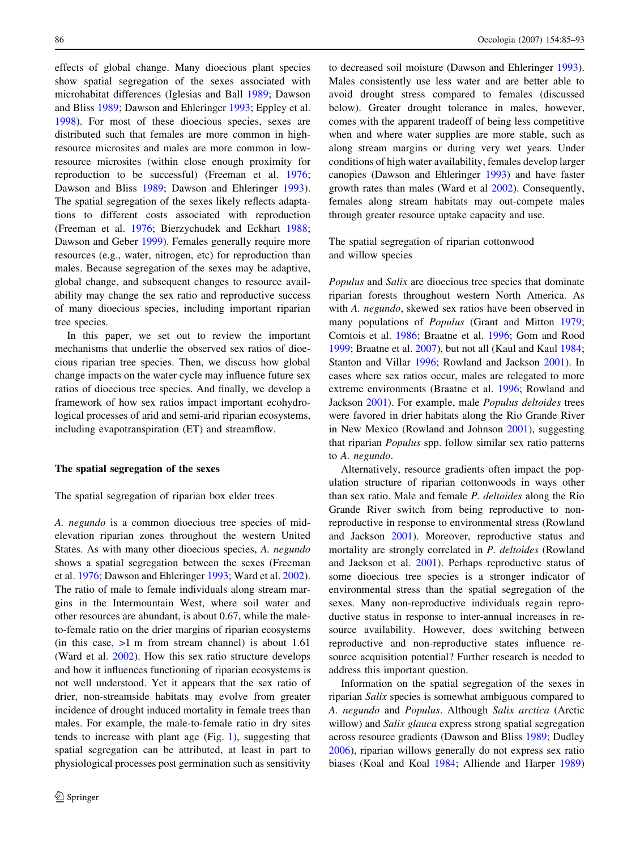effects of global change. Many dioecious plant species show spatial segregation of the sexes associated with microhabitat differences (Iglesias and Ball [1989;](#page-7-0) Dawson and Bliss [1989;](#page-6-0) Dawson and Ehleringer [1993](#page-7-0); Eppley et al. [1998\)](#page-7-0). For most of these dioecious species, sexes are distributed such that females are more common in highresource microsites and males are more common in lowresource microsites (within close enough proximity for reproduction to be successful) (Freeman et al. [1976](#page-7-0); Dawson and Bliss [1989](#page-6-0); Dawson and Ehleringer [1993](#page-7-0)). The spatial segregation of the sexes likely reflects adaptations to different costs associated with reproduction (Freeman et al. [1976;](#page-7-0) Bierzychudek and Eckhart [1988](#page-6-0); Dawson and Geber [1999\)](#page-7-0). Females generally require more resources (e.g., water, nitrogen, etc) for reproduction than males. Because segregation of the sexes may be adaptive, global change, and subsequent changes to resource availability may change the sex ratio and reproductive success of many dioecious species, including important riparian tree species.

In this paper, we set out to review the important mechanisms that underlie the observed sex ratios of dioecious riparian tree species. Then, we discuss how global change impacts on the water cycle may influence future sex ratios of dioecious tree species. And finally, we develop a framework of how sex ratios impact important ecohydrological processes of arid and semi-arid riparian ecosystems, including evapotranspiration (ET) and streamflow.

# The spatial segregation of the sexes

## The spatial segregation of riparian box elder trees

A. negundo is a common dioecious tree species of midelevation riparian zones throughout the western United States. As with many other dioecious species, A. negundo shows a spatial segregation between the sexes (Freeman et al. [1976](#page-7-0); Dawson and Ehleringer [1993;](#page-7-0) Ward et al. [2002](#page-7-0)). The ratio of male to female individuals along stream margins in the Intermountain West, where soil water and other resources are abundant, is about 0.67, while the maleto-female ratio on the drier margins of riparian ecosystems (in this case,  $>1$  m from stream channel) is about 1.61 (Ward et al. [2002\)](#page-7-0). How this sex ratio structure develops and how it influences functioning of riparian ecosystems is not well understood. Yet it appears that the sex ratio of drier, non-streamside habitats may evolve from greater incidence of drought induced mortality in female trees than males. For example, the male-to-female ratio in dry sites tends to increase with plant age (Fig. [1](#page-2-0)), suggesting that spatial segregation can be attributed, at least in part to physiological processes post germination such as sensitivity to decreased soil moisture (Dawson and Ehleringer [1993](#page-7-0)). Males consistently use less water and are better able to avoid drought stress compared to females (discussed below). Greater drought tolerance in males, however, comes with the apparent tradeoff of being less competitive when and where water supplies are more stable, such as along stream margins or during very wet years. Under conditions of high water availability, females develop larger canopies (Dawson and Ehleringer [1993\)](#page-7-0) and have faster growth rates than males (Ward et al [2002\)](#page-7-0). Consequently, females along stream habitats may out-compete males through greater resource uptake capacity and use.

The spatial segregation of riparian cottonwood and willow species

Populus and Salix are dioecious tree species that dominate riparian forests throughout western North America. As with A. negundo, skewed sex ratios have been observed in many populations of Populus (Grant and Mitton [1979](#page-7-0); Comtois et al. [1986](#page-6-0); Braatne et al. [1996](#page-6-0); Gom and Rood [1999](#page-7-0); Braatne et al. [2007\)](#page-6-0), but not all (Kaul and Kaul [1984](#page-7-0); Stanton and Villar [1996](#page-7-0); Rowland and Jackson [2001](#page-7-0)). In cases where sex ratios occur, males are relegated to more extreme environments (Braatne et al. [1996](#page-6-0); Rowland and Jackson [2001](#page-7-0)). For example, male Populus deltoides trees were favored in drier habitats along the Rio Grande River in New Mexico (Rowland and Johnson [2001\)](#page-7-0), suggesting that riparian Populus spp. follow similar sex ratio patterns to A. negundo.

Alternatively, resource gradients often impact the population structure of riparian cottonwoods in ways other than sex ratio. Male and female P. deltoides along the Rio Grande River switch from being reproductive to nonreproductive in response to environmental stress (Rowland and Jackson [2001](#page-7-0)). Moreover, reproductive status and mortality are strongly correlated in P. deltoides (Rowland and Jackson et al. [2001](#page-7-0)). Perhaps reproductive status of some dioecious tree species is a stronger indicator of environmental stress than the spatial segregation of the sexes. Many non-reproductive individuals regain reproductive status in response to inter-annual increases in resource availability. However, does switching between reproductive and non-reproductive states influence resource acquisition potential? Further research is needed to address this important question.

Information on the spatial segregation of the sexes in riparian Salix species is somewhat ambiguous compared to A. negundo and Populus. Although Salix arctica (Arctic willow) and *Salix glauca* express strong spatial segregation across resource gradients (Dawson and Bliss [1989](#page-6-0); Dudley [2006](#page-7-0)), riparian willows generally do not express sex ratio biases (Koal and Koal [1984](#page-7-0); Alliende and Harper [1989\)](#page-6-0)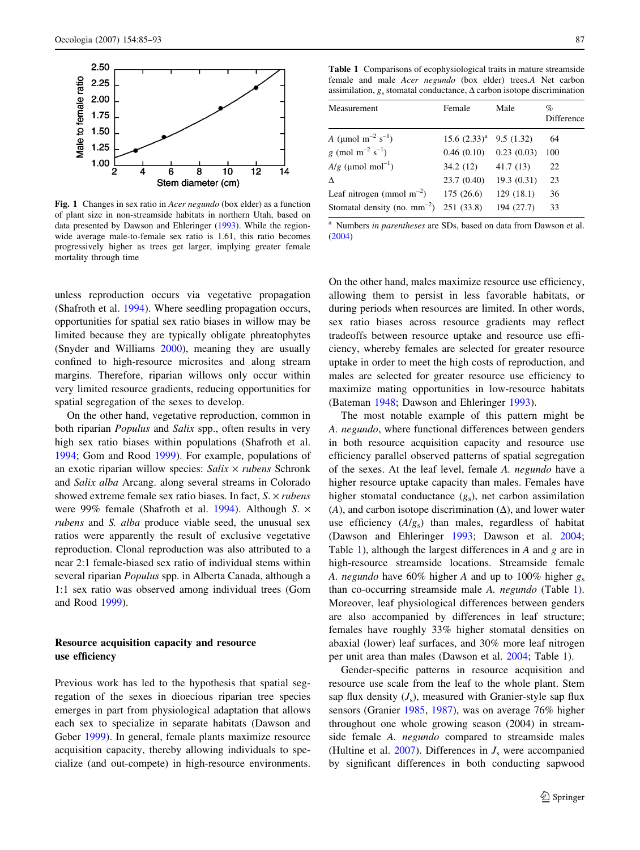<span id="page-2-0"></span>

Fig. 1 Changes in sex ratio in *Acer negundo* (box elder) as a function of plant size in non-streamside habitats in northern Utah, based on data presented by Dawson and Ehleringer ([1993\)](#page-7-0). While the regionwide average male-to-female sex ratio is 1.61, this ratio becomes progressively higher as trees get larger, implying greater female mortality through time

unless reproduction occurs via vegetative propagation (Shafroth et al. [1994\)](#page-7-0). Where seedling propagation occurs, opportunities for spatial sex ratio biases in willow may be limited because they are typically obligate phreatophytes (Snyder and Williams [2000\)](#page-7-0), meaning they are usually confined to high-resource microsites and along stream margins. Therefore, riparian willows only occur within very limited resource gradients, reducing opportunities for spatial segregation of the sexes to develop.

On the other hand, vegetative reproduction, common in both riparian *Populus* and *Salix* spp., often results in very high sex ratio biases within populations (Shafroth et al. [1994;](#page-7-0) Gom and Rood [1999\)](#page-7-0). For example, populations of an exotic riparian willow species:  $Salix \times rubens$  Schronk and Salix alba Arcang. along several streams in Colorado showed extreme female sex ratio biases. In fact,  $S \times r$ *ubens* were 99% female (Shafroth et al. [1994\)](#page-7-0). Although S.  $\times$ rubens and S. alba produce viable seed, the unusual sex ratios were apparently the result of exclusive vegetative reproduction. Clonal reproduction was also attributed to a near 2:1 female-biased sex ratio of individual stems within several riparian Populus spp. in Alberta Canada, although a 1:1 sex ratio was observed among individual trees (Gom and Rood [1999\)](#page-7-0).

# Resource acquisition capacity and resource use efficiency

Previous work has led to the hypothesis that spatial segregation of the sexes in dioecious riparian tree species emerges in part from physiological adaptation that allows each sex to specialize in separate habitats (Dawson and Geber [1999\)](#page-7-0). In general, female plants maximize resource acquisition capacity, thereby allowing individuals to specialize (and out-compete) in high-resource environments.

Table 1 Comparisons of ecophysiological traits in mature streamside female and male Acer negundo (box elder) trees.A Net carbon assimilation,  $g_s$  stomatal conductance,  $\Delta$  carbon isotope discrimination

| Measurement                                  | Female                       | Male       | $\%$<br>Difference |
|----------------------------------------------|------------------------------|------------|--------------------|
| A (µmol m <sup>-2</sup> s <sup>-1</sup> )    | $15.6 (2.33)^{a}$ 9.5 (1.32) |            | 64                 |
| g (mol m <sup>-2</sup> s <sup>-1</sup> )     | 0.46(0.10)                   | 0.23(0.03) | 100                |
| $A/g$ (µmol mol <sup>-1</sup> )              | $34.2(12)$ $41.7(13)$        |            | 22                 |
| Δ                                            | 23.7(0.40)                   | 19.3(0.31) | 23                 |
| Leaf nitrogen (mmol $m^{-2}$ )               | 175(26.6)                    | 129(18.1)  | 36                 |
| Stomatal density (no. $mm^{-2}$ ) 251 (33.8) |                              | 194 (27.7) | 33                 |

Numbers in parentheses are SDs, based on data from Dawson et al. ([2004\)](#page-7-0)

On the other hand, males maximize resource use efficiency, allowing them to persist in less favorable habitats, or during periods when resources are limited. In other words, sex ratio biases across resource gradients may reflect tradeoffs between resource uptake and resource use efficiency, whereby females are selected for greater resource uptake in order to meet the high costs of reproduction, and males are selected for greater resource use efficiency to maximize mating opportunities in low-resource habitats (Bateman [1948](#page-6-0); Dawson and Ehleringer [1993\)](#page-7-0).

The most notable example of this pattern might be A. negundo, where functional differences between genders in both resource acquisition capacity and resource use efficiency parallel observed patterns of spatial segregation of the sexes. At the leaf level, female A. negundo have a higher resource uptake capacity than males. Females have higher stomatal conductance  $(g_s)$ , net carbon assimilation (A), and carbon isotope discrimination  $(\Delta)$ , and lower water use efficiency  $(A/g_s)$  than males, regardless of habitat (Dawson and Ehleringer [1993](#page-7-0); Dawson et al. [2004](#page-7-0); Table 1), although the largest differences in A and g are in high-resource streamside locations. Streamside female A. negundo have 60% higher A and up to 100% higher  $g_s$ than co-occurring streamside male A. negundo (Table 1). Moreover, leaf physiological differences between genders are also accompanied by differences in leaf structure; females have roughly 33% higher stomatal densities on abaxial (lower) leaf surfaces, and 30% more leaf nitrogen per unit area than males (Dawson et al. [2004](#page-7-0); Table 1).

Gender-specific patterns in resource acquisition and resource use scale from the leaf to the whole plant. Stem sap flux density  $(J_s)$ , measured with Granier-style sap flux sensors (Granier [1985,](#page-7-0) [1987\)](#page-7-0), was on average 76% higher throughout one whole growing season (2004) in streamside female A. negundo compared to streamside males (Hultine et al. [2007\)](#page-7-0). Differences in  $J_s$  were accompanied by significant differences in both conducting sapwood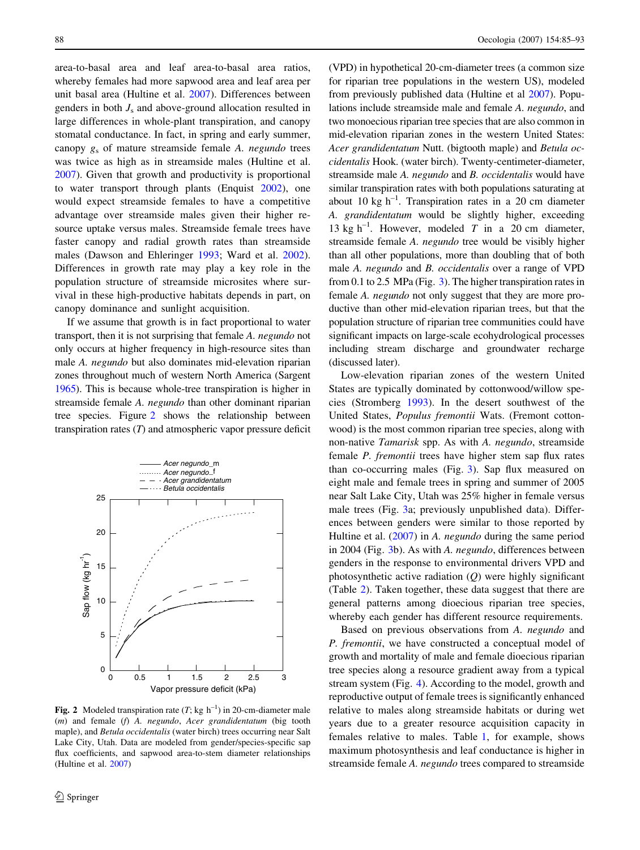area-to-basal area and leaf area-to-basal area ratios, whereby females had more sapwood area and leaf area per unit basal area (Hultine et al. [2007](#page-7-0)). Differences between genders in both  $J_s$  and above-ground allocation resulted in large differences in whole-plant transpiration, and canopy stomatal conductance. In fact, in spring and early summer, canopy  $g_s$  of mature streamside female A. *negundo* trees was twice as high as in streamside males (Hultine et al. [2007\)](#page-7-0). Given that growth and productivity is proportional to water transport through plants (Enquist [2002\)](#page-7-0), one would expect streamside females to have a competitive advantage over streamside males given their higher resource uptake versus males. Streamside female trees have faster canopy and radial growth rates than streamside males (Dawson and Ehleringer [1993](#page-7-0); Ward et al. [2002](#page-7-0)). Differences in growth rate may play a key role in the population structure of streamside microsites where survival in these high-productive habitats depends in part, on canopy dominance and sunlight acquisition.

If we assume that growth is in fact proportional to water transport, then it is not surprising that female A. negundo not only occurs at higher frequency in high-resource sites than male A. negundo but also dominates mid-elevation riparian zones throughout much of western North America (Sargent [1965\)](#page-7-0). This is because whole-tree transpiration is higher in streamside female A. negundo than other dominant riparian tree species. Figure 2 shows the relationship between transpiration rates  $(T)$  and atmospheric vapor pressure deficit



Fig. 2 Modeled transpiration rate  $(T; \text{kg } \text{h}^{-1})$  in 20-cm-diameter male (m) and female (f) A. negundo, Acer grandidentatum (big tooth maple), and Betula occidentalis (water birch) trees occurring near Salt Lake City, Utah. Data are modeled from gender/species-specific sap flux coefficients, and sapwood area-to-stem diameter relationships (Hultine et al. [2007](#page-7-0))

(VPD) in hypothetical 20-cm-diameter trees (a common size for riparian tree populations in the western US), modeled from previously published data (Hultine et al [2007\)](#page-7-0). Populations include streamside male and female A. negundo, and two monoecious riparian tree species that are also common in mid-elevation riparian zones in the western United States: Acer grandidentatum Nutt. (bigtooth maple) and Betula occidentalis Hook. (water birch). Twenty-centimeter-diameter, streamside male A. negundo and B. occidentalis would have similar transpiration rates with both populations saturating at about 10 kg  $h^{-1}$ . Transpiration rates in a 20 cm diameter A. grandidentatum would be slightly higher, exceeding 13 kg  $h^{-1}$ . However, modeled T in a 20 cm diameter, streamside female A. negundo tree would be visibly higher than all other populations, more than doubling that of both male A. negundo and B. occidentalis over a range of VPD from 0.1 to 2.5 MPa (Fig. [3](#page-4-0)). The higher transpiration rates in female A. negundo not only suggest that they are more productive than other mid-elevation riparian trees, but that the population structure of riparian tree communities could have significant impacts on large-scale ecohydrological processes including stream discharge and groundwater recharge (discussed later).

Low-elevation riparian zones of the western United States are typically dominated by cottonwood/willow species (Stromberg [1993\)](#page-7-0). In the desert southwest of the United States, Populus fremontii Wats. (Fremont cottonwood) is the most common riparian tree species, along with non-native Tamarisk spp. As with A. negundo, streamside female P. fremontii trees have higher stem sap flux rates than co-occurring males (Fig. [3](#page-4-0)). Sap flux measured on eight male and female trees in spring and summer of 2005 near Salt Lake City, Utah was 25% higher in female versus male trees (Fig. [3a](#page-4-0); previously unpublished data). Differences between genders were similar to those reported by Hultine et al. [\(2007](#page-7-0)) in A. negundo during the same period in 2004 (Fig. [3](#page-4-0)b). As with A. negundo, differences between genders in the response to environmental drivers VPD and photosynthetic active radiation  $(Q)$  were highly significant (Table [2\)](#page-4-0). Taken together, these data suggest that there are general patterns among dioecious riparian tree species, whereby each gender has different resource requirements.

Based on previous observations from A. negundo and P. fremontii, we have constructed a conceptual model of growth and mortality of male and female dioecious riparian tree species along a resource gradient away from a typical stream system (Fig. [4\)](#page-4-0). According to the model, growth and reproductive output of female trees is significantly enhanced relative to males along streamside habitats or during wet years due to a greater resource acquisition capacity in females relative to males. Table [1](#page-2-0), for example, shows maximum photosynthesis and leaf conductance is higher in streamside female A. negundo trees compared to streamside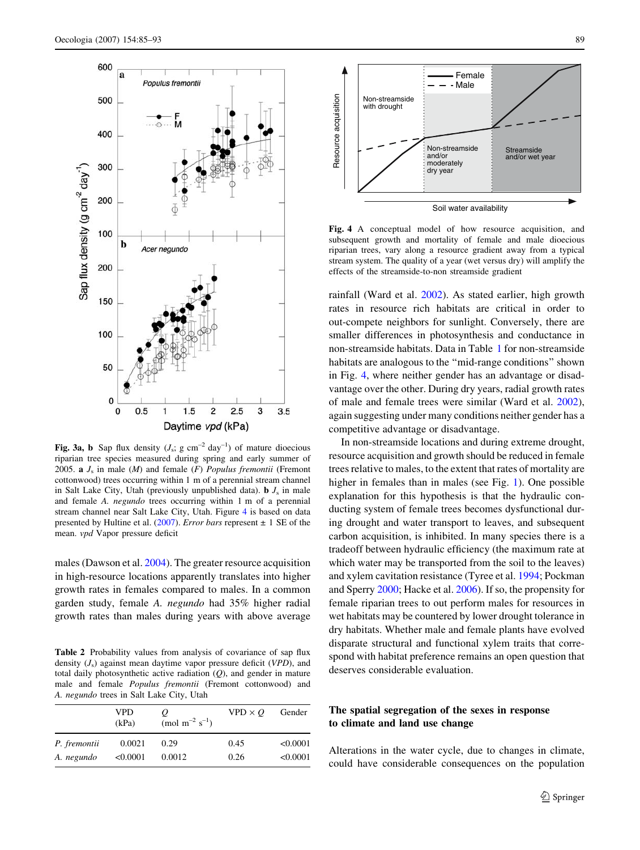<span id="page-4-0"></span>

Fig. 3a, b Sap flux density  $(J_s; g \text{ cm}^{-2} \text{ day}^{-1})$  of mature dioecious riparian tree species measured during spring and early summer of 2005. **a**  $J_s$  in male (*M*) and female (*F*) *Populus fremontii* (Fremont cottonwood) trees occurring within 1 m of a perennial stream channel in Salt Lake City, Utah (previously unpublished data). **b**  $J_s$  in male and female A. negundo trees occurring within 1 m of a perennial stream channel near Salt Lake City, Utah. Figure 4 is based on data presented by Hultine et al. [\(2007](#page-7-0)). *Error bars* represent  $\pm$  1 SE of the mean. vpd Vapor pressure deficit

males (Dawson et al. [2004\)](#page-7-0). The greater resource acquisition in high-resource locations apparently translates into higher growth rates in females compared to males. In a common garden study, female A. negundo had 35% higher radial growth rates than males during years with above average

Table 2 Probability values from analysis of covariance of sap flux density  $(J_s)$  against mean daytime vapor pressure deficit (VPD), and total daily photosynthetic active radiation  $(Q)$ , and gender in mature male and female Populus fremontii (Fremont cottonwood) and A. negundo trees in Salt Lake City, Utah

|              | VPD<br>(kPa) | o<br>(mol m <sup>-2</sup> s <sup>-1</sup> ) | $VPD \times O$ | Gender   |
|--------------|--------------|---------------------------------------------|----------------|----------|
| P. fremontii | 0.0021       | 0.29                                        | 0.45           | < 0.0001 |
| A. negundo   | < 0.0001     | 0.0012                                      | 0.26           | < 0.0001 |



Fig. 4 A conceptual model of how resource acquisition, and subsequent growth and mortality of female and male dioecious riparian trees, vary along a resource gradient away from a typical stream system. The quality of a year (wet versus dry) will amplify the effects of the streamside-to-non streamside gradient

rainfall (Ward et al. [2002\)](#page-7-0). As stated earlier, high growth rates in resource rich habitats are critical in order to out-compete neighbors for sunlight. Conversely, there are smaller differences in photosynthesis and conductance in non-streamside habitats. Data in Table [1](#page-2-0) for non-streamside habitats are analogous to the ''mid-range conditions'' shown in Fig. 4, where neither gender has an advantage or disadvantage over the other. During dry years, radial growth rates of male and female trees were similar (Ward et al. [2002](#page-7-0)), again suggesting under many conditions neither gender has a competitive advantage or disadvantage.

In non-streamside locations and during extreme drought, resource acquisition and growth should be reduced in female trees relative to males, to the extent that rates of mortality are higher in females than in males (see Fig. [1](#page-2-0)). One possible explanation for this hypothesis is that the hydraulic conducting system of female trees becomes dysfunctional during drought and water transport to leaves, and subsequent carbon acquisition, is inhibited. In many species there is a tradeoff between hydraulic efficiency (the maximum rate at which water may be transported from the soil to the leaves) and xylem cavitation resistance (Tyree et al. [1994](#page-7-0); Pockman and Sperry [2000](#page-7-0); Hacke et al. [2006](#page-7-0)). If so, the propensity for female riparian trees to out perform males for resources in wet habitats may be countered by lower drought tolerance in dry habitats. Whether male and female plants have evolved disparate structural and functional xylem traits that correspond with habitat preference remains an open question that deserves considerable evaluation.

# The spatial segregation of the sexes in response to climate and land use change

Alterations in the water cycle, due to changes in climate, could have considerable consequences on the population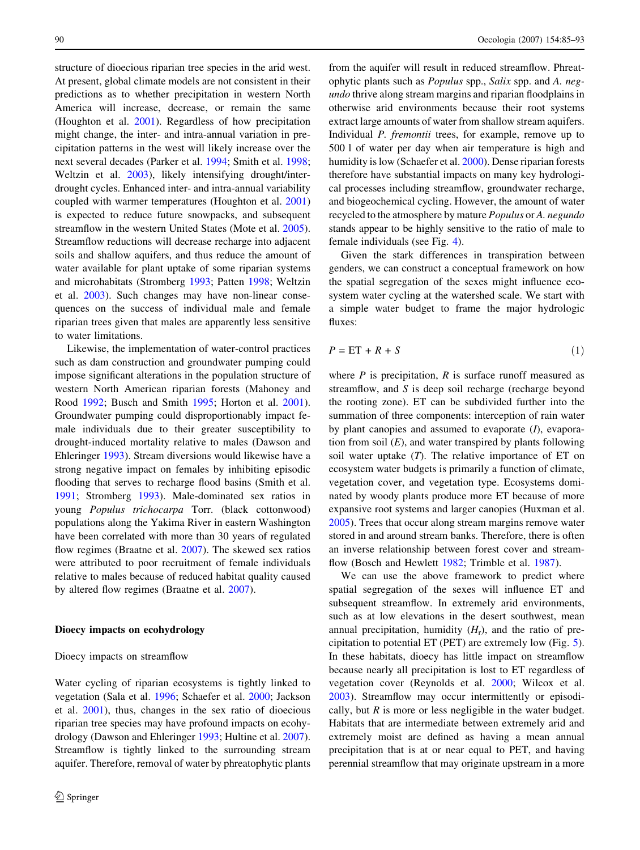structure of dioecious riparian tree species in the arid west. At present, global climate models are not consistent in their predictions as to whether precipitation in western North America will increase, decrease, or remain the same (Houghton et al. [2001\)](#page-7-0). Regardless of how precipitation might change, the inter- and intra-annual variation in precipitation patterns in the west will likely increase over the next several decades (Parker et al. [1994](#page-7-0); Smith et al. [1998](#page-7-0); Weltzin et al. [2003](#page-8-0)), likely intensifying drought/interdrought cycles. Enhanced inter- and intra-annual variability coupled with warmer temperatures (Houghton et al. [2001\)](#page-7-0) is expected to reduce future snowpacks, and subsequent streamflow in the western United States (Mote et al. [2005](#page-7-0)). Streamflow reductions will decrease recharge into adjacent soils and shallow aquifers, and thus reduce the amount of water available for plant uptake of some riparian systems and microhabitats (Stromberg [1993](#page-7-0); Patten [1998;](#page-7-0) Weltzin et al. [2003\)](#page-8-0). Such changes may have non-linear consequences on the success of individual male and female riparian trees given that males are apparently less sensitive to water limitations.

Likewise, the implementation of water-control practices such as dam construction and groundwater pumping could impose significant alterations in the population structure of western North American riparian forests (Mahoney and Rood [1992;](#page-7-0) Busch and Smith [1995;](#page-6-0) Horton et al. [2001](#page-7-0)). Groundwater pumping could disproportionably impact female individuals due to their greater susceptibility to drought-induced mortality relative to males (Dawson and Ehleringer [1993\)](#page-7-0). Stream diversions would likewise have a strong negative impact on females by inhibiting episodic flooding that serves to recharge flood basins (Smith et al. [1991;](#page-7-0) Stromberg [1993\)](#page-7-0). Male-dominated sex ratios in young Populus trichocarpa Torr. (black cottonwood) populations along the Yakima River in eastern Washington have been correlated with more than 30 years of regulated flow regimes (Braatne et al. [2007\)](#page-6-0). The skewed sex ratios were attributed to poor recruitment of female individuals relative to males because of reduced habitat quality caused by altered flow regimes (Braatne et al. [2007](#page-6-0)).

#### Dioecy impacts on ecohydrology

#### Dioecy impacts on streamflow

Water cycling of riparian ecosystems is tightly linked to vegetation (Sala et al. [1996;](#page-7-0) Schaefer et al. [2000](#page-7-0); Jackson et al. [2001](#page-7-0)), thus, changes in the sex ratio of dioecious riparian tree species may have profound impacts on ecohydrology (Dawson and Ehleringer [1993](#page-7-0); Hultine et al. [2007](#page-7-0)). Streamflow is tightly linked to the surrounding stream aquifer. Therefore, removal of water by phreatophytic plants from the aquifer will result in reduced streamflow. Phreatophytic plants such as Populus spp., Salix spp. and A. negundo thrive along stream margins and riparian floodplains in otherwise arid environments because their root systems extract large amounts of water from shallow stream aquifers. Individual P. fremontii trees, for example, remove up to 500 l of water per day when air temperature is high and humidity is low (Schaefer et al. [2000](#page-7-0)). Dense riparian forests therefore have substantial impacts on many key hydrological processes including streamflow, groundwater recharge, and biogeochemical cycling. However, the amount of water recycled to the atmosphere by mature Populus or A. negundo stands appear to be highly sensitive to the ratio of male to female individuals (see Fig. [4](#page-4-0)).

Given the stark differences in transpiration between genders, we can construct a conceptual framework on how the spatial segregation of the sexes might influence ecosystem water cycling at the watershed scale. We start with a simple water budget to frame the major hydrologic fluxes:

$$
P = ET + R + S \tag{1}
$$

where  $P$  is precipitation,  $R$  is surface runoff measured as streamflow, and S is deep soil recharge (recharge beyond the rooting zone). ET can be subdivided further into the summation of three components: interception of rain water by plant canopies and assumed to evaporate  $(I)$ , evaporation from soil  $(E)$ , and water transpired by plants following soil water uptake  $(T)$ . The relative importance of ET on ecosystem water budgets is primarily a function of climate, vegetation cover, and vegetation type. Ecosystems dominated by woody plants produce more ET because of more expansive root systems and larger canopies (Huxman et al. [2005](#page-7-0)). Trees that occur along stream margins remove water stored in and around stream banks. Therefore, there is often an inverse relationship between forest cover and stream-flow (Bosch and Hewlett [1982](#page-6-0); Trimble et al. [1987\)](#page-7-0).

We can use the above framework to predict where spatial segregation of the sexes will influence ET and subsequent streamflow. In extremely arid environments, such as at low elevations in the desert southwest, mean annual precipitation, humidity  $(H_r)$ , and the ratio of precipitation to potential ET (PET) are extremely low (Fig. [5](#page-6-0)). In these habitats, dioecy has little impact on streamflow because nearly all precipitation is lost to ET regardless of vegetation cover (Reynolds et al. [2000](#page-7-0); Wilcox et al. [2003](#page-8-0)). Streamflow may occur intermittently or episodically, but  $R$  is more or less negligible in the water budget. Habitats that are intermediate between extremely arid and extremely moist are defined as having a mean annual precipitation that is at or near equal to PET, and having perennial streamflow that may originate upstream in a more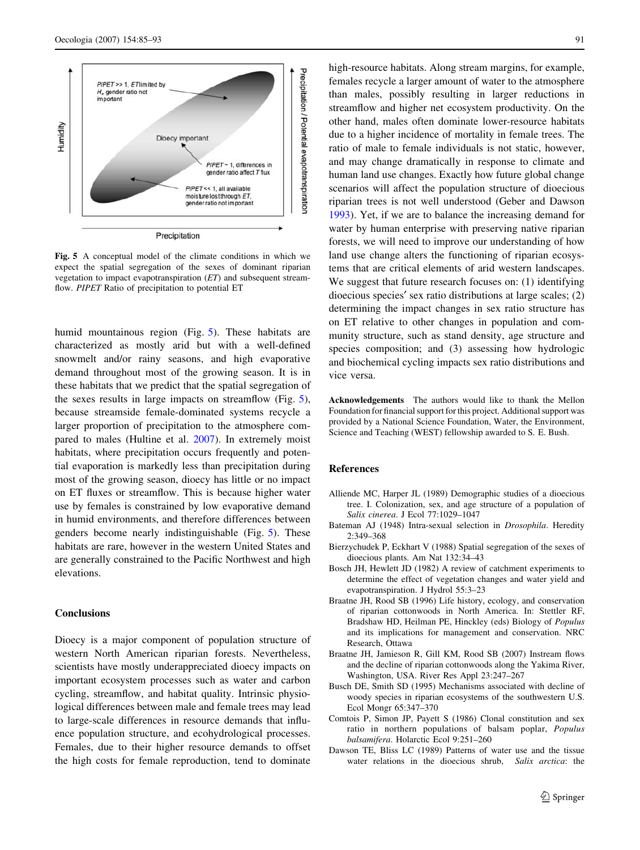<span id="page-6-0"></span>

Fig. 5 A conceptual model of the climate conditions in which we expect the spatial segregation of the sexes of dominant riparian vegetation to impact evapotranspiration  $(ET)$  and subsequent streamflow. PIPET Ratio of precipitation to potential ET

humid mountainous region (Fig. 5). These habitats are characterized as mostly arid but with a well-defined snowmelt and/or rainy seasons, and high evaporative demand throughout most of the growing season. It is in these habitats that we predict that the spatial segregation of the sexes results in large impacts on streamflow (Fig. 5), because streamside female-dominated systems recycle a larger proportion of precipitation to the atmosphere compared to males (Hultine et al. [2007](#page-7-0)). In extremely moist habitats, where precipitation occurs frequently and potential evaporation is markedly less than precipitation during most of the growing season, dioecy has little or no impact on ET fluxes or streamflow. This is because higher water use by females is constrained by low evaporative demand in humid environments, and therefore differences between genders become nearly indistinguishable (Fig. 5). These habitats are rare, however in the western United States and are generally constrained to the Pacific Northwest and high elevations.

## Conclusions

Dioecy is a major component of population structure of western North American riparian forests. Nevertheless, scientists have mostly underappreciated dioecy impacts on important ecosystem processes such as water and carbon cycling, streamflow, and habitat quality. Intrinsic physiological differences between male and female trees may lead to large-scale differences in resource demands that influence population structure, and ecohydrological processes. Females, due to their higher resource demands to offset the high costs for female reproduction, tend to dominate

high-resource habitats. Along stream margins, for example, females recycle a larger amount of water to the atmosphere than males, possibly resulting in larger reductions in streamflow and higher net ecosystem productivity. On the other hand, males often dominate lower-resource habitats due to a higher incidence of mortality in female trees. The ratio of male to female individuals is not static, however, and may change dramatically in response to climate and human land use changes. Exactly how future global change scenarios will affect the population structure of dioecious riparian trees is not well understood (Geber and Dawson [1993](#page-7-0)). Yet, if we are to balance the increasing demand for water by human enterprise with preserving native riparian forests, we will need to improve our understanding of how land use change alters the functioning of riparian ecosystems that are critical elements of arid western landscapes. We suggest that future research focuses on: (1) identifying dioecious species' sex ratio distributions at large scales; (2) determining the impact changes in sex ratio structure has on ET relative to other changes in population and community structure, such as stand density, age structure and species composition; and (3) assessing how hydrologic and biochemical cycling impacts sex ratio distributions and vice versa.

Acknowledgements The authors would like to thank the Mellon Foundation for financial support for this project. Additional support was provided by a National Science Foundation, Water, the Environment, Science and Teaching (WEST) fellowship awarded to S. E. Bush.

## References

- Alliende MC, Harper JL (1989) Demographic studies of a dioecious tree. I. Colonization, sex, and age structure of a population of Salix cinerea. J Ecol 77:1029–1047
- Bateman AJ (1948) Intra-sexual selection in Drosophila. Heredity 2:349–368
- Bierzychudek P, Eckhart V (1988) Spatial segregation of the sexes of dioecious plants. Am Nat 132:34–43
- Bosch JH, Hewlett JD (1982) A review of catchment experiments to determine the effect of vegetation changes and water yield and evapotranspiration. J Hydrol 55:3–23
- Braatne JH, Rood SB (1996) Life history, ecology, and conservation of riparian cottonwoods in North America. In: Stettler RF, Bradshaw HD, Heilman PE, Hinckley (eds) Biology of Populus and its implications for management and conservation. NRC Research, Ottawa
- Braatne JH, Jamieson R, Gill KM, Rood SB (2007) Instream flows and the decline of riparian cottonwoods along the Yakima River, Washington, USA. River Res Appl 23:247–267
- Busch DE, Smith SD (1995) Mechanisms associated with decline of woody species in riparian ecosystems of the southwestern U.S. Ecol Mongr 65:347–370
- Comtois P, Simon JP, Payett S (1986) Clonal constitution and sex ratio in northern populations of balsam poplar, Populus balsamifera. Holarctic Ecol 9:251–260
- Dawson TE, Bliss LC (1989) Patterns of water use and the tissue water relations in the dioecious shrub, Salix arctica: the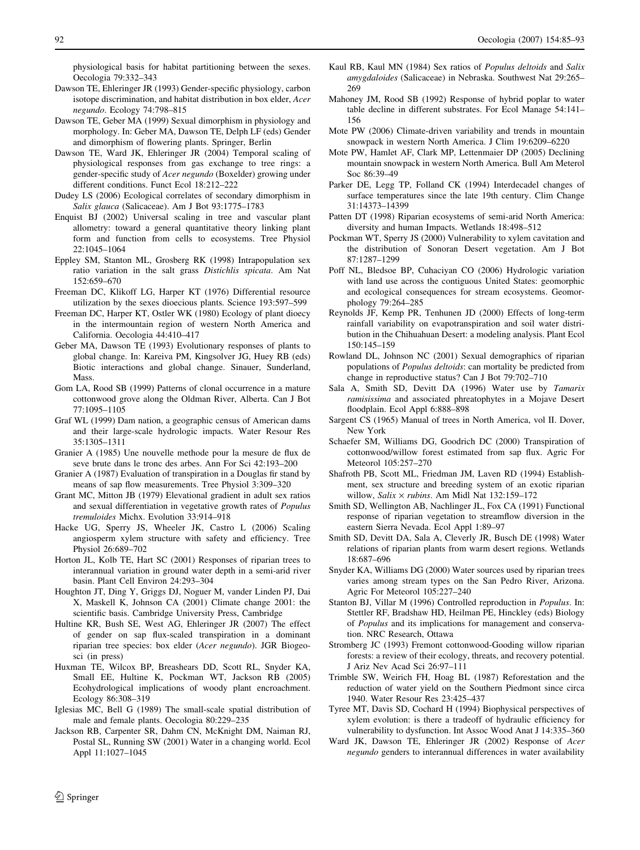<span id="page-7-0"></span>physiological basis for habitat partitioning between the sexes. Oecologia 79:332–343

- Dawson TE, Ehleringer JR (1993) Gender-specific physiology, carbon isotope discrimination, and habitat distribution in box elder, Acer negundo. Ecology 74:798–815
- Dawson TE, Geber MA (1999) Sexual dimorphism in physiology and morphology. In: Geber MA, Dawson TE, Delph LF (eds) Gender and dimorphism of flowering plants. Springer, Berlin
- Dawson TE, Ward JK, Ehleringer JR (2004) Temporal scaling of physiological responses from gas exchange to tree rings: a gender-specific study of Acer negundo (Boxelder) growing under different conditions. Funct Ecol 18:212–222
- Dudey LS (2006) Ecological correlates of secondary dimorphism in Salix glauca (Salicaceae). Am J Bot 93:1775–1783
- Enquist BJ (2002) Universal scaling in tree and vascular plant allometry: toward a general quantitative theory linking plant form and function from cells to ecosystems. Tree Physiol 22:1045–1064
- Eppley SM, Stanton ML, Grosberg RK (1998) Intrapopulation sex ratio variation in the salt grass Distichlis spicata. Am Nat 152:659–670
- Freeman DC, Klikoff LG, Harper KT (1976) Differential resource utilization by the sexes dioecious plants. Science 193:597–599
- Freeman DC, Harper KT, Ostler WK (1980) Ecology of plant dioecy in the intermountain region of western North America and California. Oecologia 44:410–417
- Geber MA, Dawson TE (1993) Evolutionary responses of plants to global change. In: Kareiva PM, Kingsolver JG, Huey RB (eds) Biotic interactions and global change. Sinauer, Sunderland, Mass.
- Gom LA, Rood SB (1999) Patterns of clonal occurrence in a mature cottonwood grove along the Oldman River, Alberta. Can J Bot 77:1095–1105
- Graf WL (1999) Dam nation, a geographic census of American dams and their large-scale hydrologic impacts. Water Resour Res 35:1305–1311
- Granier A (1985) Une nouvelle methode pour la mesure de flux de seve brute dans le tronc des arbes. Ann For Sci 42:193–200
- Granier A (1987) Evaluation of transpiration in a Douglas fir stand by means of sap flow measurements. Tree Physiol 3:309–320
- Grant MC, Mitton JB (1979) Elevational gradient in adult sex ratios and sexual differentiation in vegetative growth rates of Populus tremuloides Michx. Evolution 33:914–918
- Hacke UG, Sperry JS, Wheeler JK, Castro L (2006) Scaling angiosperm xylem structure with safety and efficiency. Tree Physiol 26:689–702
- Horton JL, Kolb TE, Hart SC (2001) Responses of riparian trees to interannual variation in ground water depth in a semi-arid river basin. Plant Cell Environ 24:293–304
- Houghton JT, Ding Y, Griggs DJ, Noguer M, vander Linden PJ, Dai X, Maskell K, Johnson CA (2001) Climate change 2001: the scientific basis. Cambridge University Press, Cambridge
- Hultine KR, Bush SE, West AG, Ehleringer JR (2007) The effect of gender on sap flux-scaled transpiration in a dominant riparian tree species: box elder (Acer negundo). JGR Biogeosci (in press)
- Huxman TE, Wilcox BP, Breashears DD, Scott RL, Snyder KA, Small EE, Hultine K, Pockman WT, Jackson RB (2005) Ecohydrological implications of woody plant encroachment. Ecology 86:308–319
- Iglesias MC, Bell G (1989) The small-scale spatial distribution of male and female plants. Oecologia 80:229–235
- Jackson RB, Carpenter SR, Dahm CN, McKnight DM, Naiman RJ, Postal SL, Running SW (2001) Water in a changing world. Ecol Appl 11:1027–1045
- Kaul RB, Kaul MN (1984) Sex ratios of Populus deltoids and Salix amygdaloides (Salicaceae) in Nebraska. Southwest Nat 29:265– 269
- Mahoney JM, Rood SB (1992) Response of hybrid poplar to water table decline in different substrates. For Ecol Manage 54:141– 156
- Mote PW (2006) Climate-driven variability and trends in mountain snowpack in western North America. J Clim 19:6209–6220
- Mote PW, Hamlet AF, Clark MP, Lettenmaier DP (2005) Declining mountain snowpack in western North America. Bull Am Meterol Soc 86:39–49
- Parker DE, Legg TP, Folland CK (1994) Interdecadel changes of surface temperatures since the late 19th century. Clim Change 31:14373–14399
- Patten DT (1998) Riparian ecosystems of semi-arid North America: diversity and human Impacts. Wetlands 18:498–512
- Pockman WT, Sperry JS (2000) Vulnerability to xylem cavitation and the distribution of Sonoran Desert vegetation. Am J Bot 87:1287–1299
- Poff NL, Bledsoe BP, Cuhaciyan CO (2006) Hydrologic variation with land use across the contiguous United States: geomorphic and ecological consequences for stream ecosystems. Geomorphology 79:264–285
- Reynolds JF, Kemp PR, Tenhunen JD (2000) Effects of long-term rainfall variability on evapotranspiration and soil water distribution in the Chihuahuan Desert: a modeling analysis. Plant Ecol 150:145–159
- Rowland DL, Johnson NC (2001) Sexual demographics of riparian populations of Populus deltoids: can mortality be predicted from change in reproductive status? Can J Bot 79:702–710
- Sala A, Smith SD, Devitt DA (1996) Water use by Tamarix ramisissima and associated phreatophytes in a Mojave Desert floodplain. Ecol Appl 6:888–898
- Sargent CS (1965) Manual of trees in North America, vol II. Dover, New York
- Schaefer SM, Williams DG, Goodrich DC (2000) Transpiration of cottonwood/willow forest estimated from sap flux. Agric For Meteorol 105:257–270
- Shafroth PB, Scott ML, Friedman JM, Laven RD (1994) Establishment, sex structure and breeding system of an exotic riparian willow, Salix  $\times$  rubins. Am Midl Nat 132:159-172
- Smith SD, Wellington AB, Nachlinger JL, Fox CA (1991) Functional response of riparian vegetation to streamflow diversion in the eastern Sierra Nevada. Ecol Appl 1:89–97
- Smith SD, Devitt DA, Sala A, Cleverly JR, Busch DE (1998) Water relations of riparian plants from warm desert regions. Wetlands 18:687–696
- Snyder KA, Williams DG (2000) Water sources used by riparian trees varies among stream types on the San Pedro River, Arizona. Agric For Meteorol 105:227–240
- Stanton BJ, Villar M (1996) Controlled reproduction in Populus. In: Stettler RF, Bradshaw HD, Heilman PE, Hinckley (eds) Biology of Populus and its implications for management and conservation. NRC Research, Ottawa
- Stromberg JC (1993) Fremont cottonwood-Gooding willow riparian forests: a review of their ecology, threats, and recovery potential. J Ariz Nev Acad Sci 26:97–111
- Trimble SW, Weirich FH, Hoag BL (1987) Reforestation and the reduction of water yield on the Southern Piedmont since circa 1940. Water Resour Res 23:425–437
- Tyree MT, Davis SD, Cochard H (1994) Biophysical perspectives of xylem evolution: is there a tradeoff of hydraulic efficiency for vulnerability to dysfunction. Int Assoc Wood Anat J 14:335–360
- Ward JK, Dawson TE, Ehleringer JR (2002) Response of Acer negundo genders to interannual differences in water availability